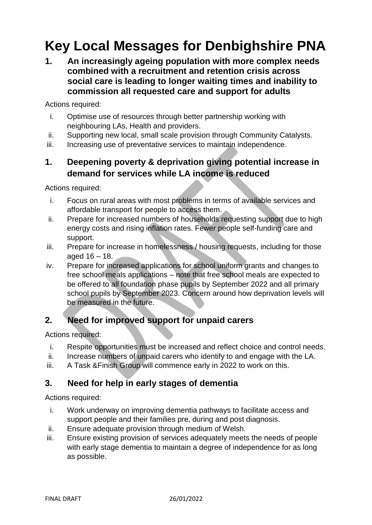# **Key Local Messages for Denbighshire PNA**

**1. An increasingly ageing population with more complex needs combined with a recruitment and retention crisis across social care is leading to longer waiting times and inability to commission all requested care and support for adults**

Actions required:

- i. Optimise use of resources through better partnership working with neighbouring LAs, Health and providers.
- ii. Supporting new local, small scale provision through Community Catalysts.
- iii. Increasing use of preventative services to maintain independence.

## **1. Deepening poverty & deprivation giving potential increase in demand for services while LA income is reduced**

Actions required:

- i. Focus on rural areas with most problems in terms of available services and affordable transport for people to access them.
- ii. Prepare for increased numbers of households requesting support due to high energy costs and rising inflation rates. Fewer people self-funding care and support.
- iii. Prepare for increase in homelessness / housing requests, including for those aged  $16 - 18$ .
- iv. Prepare for increased applications for school uniform grants and changes to free school meals applications – note that free school meals are expected to be offered to all foundation phase pupils by September 2022 and all primary school pupils by September 2023. Concern around how deprivation levels will be measured in the future.

# **2. Need for improved support for unpaid carers**

Actions required:

- i. Respite opportunities must be increased and reflect choice and control needs.
- ii. Increase numbers of unpaid carers who identify to and engage with the LA.
- iii. A Task & Finish Group will commence early in 2022 to work on this.

#### **3. Need for help in early stages of dementia**

Actions required:

- i. Work underway on improving dementia pathways to facilitate access and support people and their families pre, during and post diagnosis.
- ii. Ensure adequate provision through medium of Welsh.
- iii. Ensure existing provision of services adequately meets the needs of people with early stage dementia to maintain a degree of independence for as long as possible.